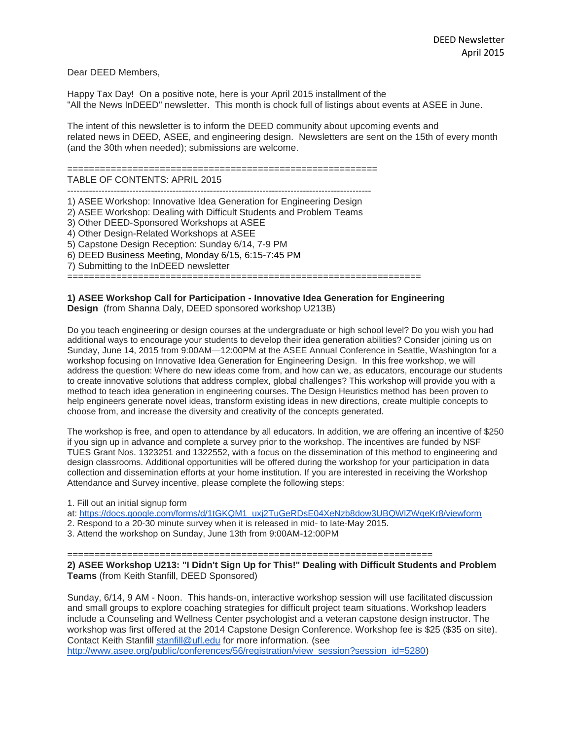Dear DEED Members,

Happy Tax Day! On a positive note, here is your April 2015 installment of the "All the News InDEED" newsletter. This month is chock full of listings about events at ASEE in June.

The intent of this newsletter is to inform the DEED community about upcoming events and related news in DEED, ASEE, and engineering design. Newsletters are sent on the 15th of every month (and the 30th when needed); submissions are welcome.

=========================================================

TABLE OF CONTENTS: APRIL 2015

-------------------------------------------------------------------------------------------------- 1) ASEE Workshop: Innovative Idea Generation for Engineering Design

2) ASEE Workshop: Dealing with Difficult Students and Problem Teams

- 3) Other DEED-Sponsored Workshops at ASEE
- 4) Other Design-Related Workshops at ASEE

5) Capstone Design Reception: Sunday 6/14, 7-9 PM

6) DEED Business Meeting, Monday 6/15, 6:15-7:45 PM

7) Submitting to the InDEED newsletter

=================================================================

## **1) ASEE Workshop Call for Participation - Innovative Idea Generation for Engineering Design** (from Shanna Daly, DEED sponsored workshop U213B)

Do you teach engineering or design courses at the undergraduate or high school level? Do you wish you had additional ways to encourage your students to develop their idea generation abilities? Consider joining us on Sunday, June 14, 2015 from 9:00AM—12:00PM at the ASEE Annual Conference in Seattle, Washington for a workshop focusing on Innovative Idea Generation for Engineering Design. In this free workshop, we will address the question: Where do new ideas come from, and how can we, as educators, encourage our students to create innovative solutions that address complex, global challenges? This workshop will provide you with a method to teach idea generation in engineering courses. The Design Heuristics method has been proven to help engineers generate novel ideas, transform existing ideas in new directions, create multiple concepts to choose from, and increase the diversity and creativity of the concepts generated.

The workshop is free, and open to attendance by all educators. In addition, we are offering an incentive of \$250 if you sign up in advance and complete a survey prior to the workshop. The incentives are funded by NSF TUES Grant Nos. 1323251 and 1322552, with a focus on the dissemination of this method to engineering and design classrooms. Additional opportunities will be offered during the workshop for your participation in data collection and dissemination efforts at your home institution. If you are interested in receiving the Workshop Attendance and Survey incentive, please complete the following steps:

1. Fill out an initial signup form

at: [https://docs.google.com/forms/d/1tGKQM1\\_uxj2TuGeRDsE04XeNzb8dow3UBQWlZWgeKr8/viewform](https://docs.google.com/forms/d/1tGKQM1_uxj2TuGeRDsE04XeNzb8dow3UBQWlZWgeKr8/viewform)

2. Respond to a 20-30 minute survey when it is released in mid- to late-May 2015.

3. Attend the workshop on Sunday, June 13th from 9:00AM-12:00PM

=================================================================== **2) ASEE Workshop U213: "I Didn't Sign Up for This!" Dealing with Difficult Students and Problem Teams** (from Keith Stanfill, DEED Sponsored)

Sunday, 6/14, 9 AM - Noon. This hands-on, interactive workshop session will use facilitated discussion and small groups to explore coaching strategies for difficult project team situations. Workshop leaders include a Counseling and Wellness Center psychologist and a veteran capstone design instructor. The workshop was first offered at the 2014 Capstone Design Conference. Workshop fee is \$25 (\$35 on site). Contact Keith Stanfill [stanfill@ufl.edu](mailto:stanfill@ufl.edu) for more information. (see

[http://www.asee.org/public/conferences/56/registration/view\\_session?session\\_id=5280\)](http://www.asee.org/public/conferences/56/registration/view_session?session_id=5280)